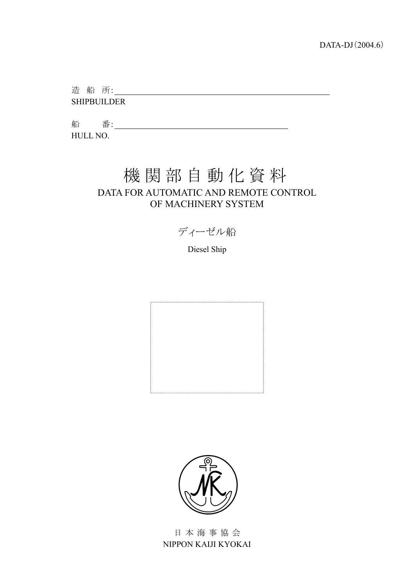造船所: SHIPBUILDER

船 番: 2008年 2018年 2019年 2019年 2019年 2019年 2019年 2019年 2019年 2019年 2019年 2019年 2019年 2019年 2019年 2019年 2019年 2019年 2019年 2019年 2019年 2019年 2019年 2019年 2019年 2019年 2019年 2019年 2019年 2019年 2019年 2019年 2019年 2019年 2019年 2019年 2 HULL NO.

# 機関部自動化資料 DATA FOR AUTOMATIC AND REMOTE CONTROL OF MACHINERY SYSTEM

ディーゼル船

Diesel Ship





日本海事協会 NIPPON KAIJI KYOKAI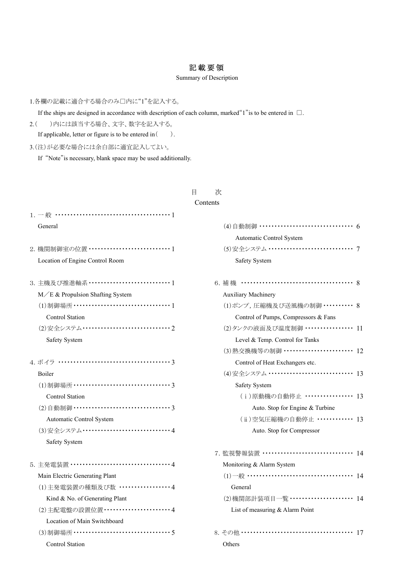## 記載要領

#### Summary of Description

1.各欄の記載に適合する場合のみ□内に"1"を記入する。

If the ships are designed in accordance with description of each column, marked"1"is to be entered in □.

2.( )内には該当する場合、文字、数字を記入する。

If applicable, letter or figure is to be entered in  $( )$ .

3.(注)が必要な場合には余白部に適宜記入してよい。

If "Note"is necessary, blank space may be used additionally.

## 目 次

#### Contents

| General                                       | (4) 自動制御 ……………………………… 6              |
|-----------------------------------------------|--------------------------------------|
|                                               | Automatic Control System             |
| 2. 機関制御室の位置 ……………………………1                      | (5)安全システム …………………………… 7              |
| Location of Engine Control Room               | Safety System                        |
| 3. 主機及び推進軸系 ……………………………… 1                    | 6. 補機 ……………………………………… 8              |
| $M/E &$ Propulsion Shafting System            | <b>Auxiliary Machinery</b>           |
| (1)制御場所 …………………………………1                        | (1)ポンプ,圧縮機及び送風機の制御 ………… 8            |
| Control Station                               | Control of Pumps, Compressors & Fans |
| (2) 安全システム ································ 2 | (2) タンクの液面及び温度制御 ……………… 11           |
| Safety System                                 | Level & Temp. Control for Tanks      |
|                                               | (3) 熱交換機等の制御 ……………………… 12            |
| 4. ボイラ ………………………………………3                       | Control of Heat Exchangers etc.      |
| Boiler                                        | (4) 安全システム …………………………… 13            |
|                                               | Safety System                        |
| <b>Control Station</b>                        | (i)原動機の自動停止 ……………… 13                |
|                                               | Auto. Stop for Engine & Turbine      |
| Automatic Control System                      | (ii)空気圧縮機の自動停止 ············ 13       |
| (3)安全システム …………………………………4                      | Auto. Stop for Compressor            |
| Safety System                                 |                                      |
|                                               | 7. 監視警報装置 ……………………………… 14            |
| 5. 主発電装置 …………………………………4                       | Monitoring & Alarm System            |
| Main Electric Generating Plant                | $(1)$ 一般 ……………………………………… 14          |
| (1) 主発電装置の種類及び数 ・・・・・・・・・・・・・・・・・4            | General                              |
| Kind & No. of Generating Plant                | (2)機関部計装項目一覧 …………………… 14             |
| (2) 主配電盤の設置位置 ………………………4                      | List of measuring & Alarm Point      |
| Location of Main Switchboard                  |                                      |
| (3)制御場所 ………………………………………5                      | 8. その他 ……………………………………… 17            |
| <b>Control Station</b>                        | Others                               |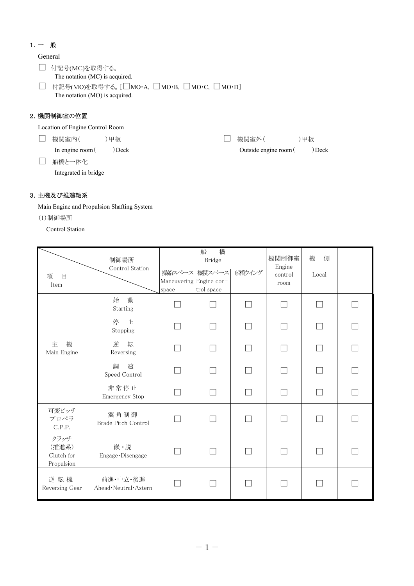## 1.一 般

General

□ 付記号(MC)を取得する。 The notation (MC) is acquired.

□ 付記号(MO)を取得する。[□MO·A, □MO·B, □MO·C, □MO·D] The notation (MO) is acquired.

## 2.機関制御室の位置

Location of Engine Control Room

□ 機関室内( )甲板

In engine room ( ) Deck

□ 機関室外( )甲板

□ 船橋と一体化

Integrated in bridge

Outside engine room ( ) Deck

## 3.主機及び推進軸系

Main Engine and Propulsion Shafting System

(1)制御場所

Control Station

| $\Box$<br>項<br>Item                       | 制御場所<br>Control Station              | Maneuvering Engine con-<br>space | 船<br>橋<br><b>Bridge</b><br>操船スペース 機関スペース<br>trol space | 船勧イング | 機関制御室<br>Engine<br>control<br>room | 機<br>側<br>Local |  |
|-------------------------------------------|--------------------------------------|----------------------------------|--------------------------------------------------------|-------|------------------------------------|-----------------|--|
|                                           | 動<br>始<br>Starting                   |                                  |                                                        |       |                                    |                 |  |
|                                           | 停<br>止<br>Stopping                   |                                  |                                                        |       |                                    |                 |  |
| 主<br>機<br>Main Engine                     | 逆<br>転<br>Reversing                  |                                  |                                                        |       |                                    |                 |  |
|                                           | 速<br>調<br>Speed Control              |                                  |                                                        |       |                                    |                 |  |
|                                           | 非常停止<br>Emergency Stop               |                                  |                                                        |       |                                    |                 |  |
| 可変ピッチ<br>プロペラ<br>C.P.P.                   | 翼角制御<br>Brade Pitch Control          |                                  |                                                        |       |                                    |                 |  |
| クラッチ<br>(推進系)<br>Clutch for<br>Propulsion | 嵌·脱<br>Engage · Disengage            |                                  |                                                        |       |                                    |                 |  |
| 逆転機<br>Reversing Gear                     | 前進·中立·後進<br>Ahead · Neutral · Astern |                                  |                                                        |       |                                    |                 |  |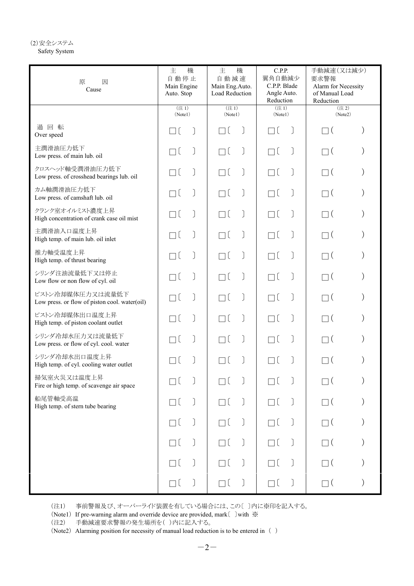#### (2)安全システム Safety System

| 原<br>因<br>Cause                                                   | 主<br>機<br>自動停止<br>Main Engine<br>Auto. Stop | 主<br>機<br>自動減速<br>Main Eng.Auto.<br>Load Reduction | C.P.P.<br>翼角自動減少<br>C.P.P. Blade<br>Angle Auto.<br>Reduction | 手動減速(又は減少)<br>要求警報<br>Alarm for Necessity<br>of Manual Load<br>Reduction |  |
|-------------------------------------------------------------------|---------------------------------------------|----------------------------------------------------|--------------------------------------------------------------|--------------------------------------------------------------------------|--|
|                                                                   | (注1)<br>(Note1)                             | (注1)<br>(Note1)                                    | (注1)<br>(Note1)                                              | (注2)<br>(Note2)                                                          |  |
| 過回転<br>Over speed                                                 |                                             | Пĺ                                                 | Пĺ                                                           | $\overline{\mathcal{L}}$                                                 |  |
| 主潤滑油圧力低下<br>Low press. of main lub. oil                           | ٦l                                          | Пĺ                                                 | Пĺ                                                           | $\Box$ (                                                                 |  |
| クロスヘッド軸受潤滑油圧力低下<br>Low press. of crosshead bearings lub. oil      | ٦l                                          | $\Box$ (                                           | Пĺ                                                           | $\Box$ (                                                                 |  |
| カム軸潤滑油圧力低下<br>Low press. of camshaft lub. oil                     | ٦l                                          | Пĺ                                                 | Пĺ                                                           | $\Box$ (                                                                 |  |
| クランク室オイルミスト濃度上昇<br>High concentration of crank case oil mist      | ٦l                                          | Пĺ                                                 | Пĺ                                                           | $\Box$ (                                                                 |  |
| 主潤滑油入口温度上昇<br>High temp. of main lub. oil inlet                   | ٦l                                          | Пĺ                                                 | Пĺ                                                           | $\Box$ (                                                                 |  |
| 推力軸受温度上昇<br>High temp. of thrust bearing                          | ٦C                                          | Пĺ                                                 | Пĺ                                                           | $\Box$ (                                                                 |  |
| シリンダ注油流量低下又は停止<br>Low flow or non flow of cyl. oil                | ٦l                                          | Пĺ                                                 | Пĺ                                                           | $\Box$ (                                                                 |  |
| ピストン冷却媒体圧力又は流量低下<br>Low press. or flow of piston cool. water(oil) | ٦C                                          | $\Box$ (                                           | Пĺ                                                           | $\Box$ (                                                                 |  |
| ピストン冷却媒体出口温度上昇<br>High temp. of piston coolant outlet             | ٦(                                          | Пĺ                                                 | Пĺ                                                           | $\Box$ (                                                                 |  |
| シリンダ冷却水圧力又は流量低下<br>Low press. or flow of cyl. cool. water         |                                             | Пĺ                                                 | Пĺ                                                           | П (                                                                      |  |
| シリンダ冷却水出口温度上昇<br>High temp. of cyl. cooling water outlet          |                                             | Пl                                                 | Πl                                                           | $\overline{\mathcal{L}}$                                                 |  |
| 掃気室火災又は温度上昇<br>Fire or high temp. of scavenge air space           |                                             |                                                    |                                                              |                                                                          |  |
| 船尾管軸受高温<br>High temp. of stern tube bearing                       |                                             | Пĺ                                                 | Пĺ                                                           | $\Box$ (                                                                 |  |
|                                                                   |                                             |                                                    | $\big)$                                                      | $\Box$ (                                                                 |  |
|                                                                   |                                             | Пl                                                 | Πl                                                           | $\Box$                                                                   |  |
|                                                                   | ПI                                          | Πl                                                 | Πl                                                           | $\Box$ (                                                                 |  |
|                                                                   |                                             | $\Box$ (                                           | $\Box$ (                                                     | $\square$ (                                                              |  |

(注1) 事前警報及び、オーバーライド装置を有している場合には、この〔 〕内に※印を記入する。

(Note1) If pre-warning alarm and override device are provided, mark〔 〕with ※

(注2) 手動減速要求警報の発生場所を( )内に記入する。

(Note2) Alarming position for necessity of manual load reduction is to be entered in ( )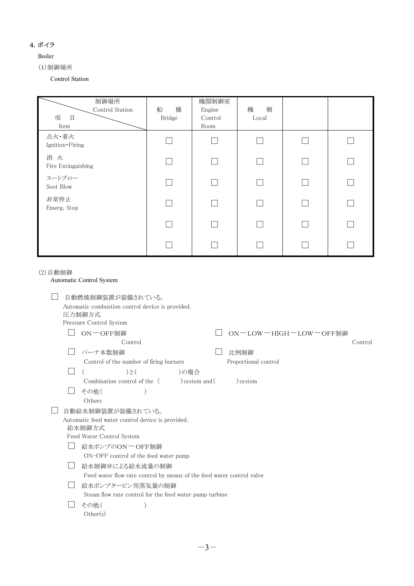#### 4.ボイラ

#### Boiler

(1)制御場所

Control Station

| 制御場所<br>Control Station<br>項<br>$\begin{array}{c} \square \end{array}$<br>Item | 橋<br>船<br>Bridge | 機関制御室<br>Engine<br>Control<br>Room | 機<br>側<br>Local |  |
|--------------------------------------------------------------------------------|------------------|------------------------------------|-----------------|--|
| 点火·着火<br>Ignition · Firing                                                     |                  |                                    |                 |  |
| 消火<br>Fire Extinguishing                                                       |                  |                                    |                 |  |
| スートブロー<br>Soot Blow                                                            |                  |                                    |                 |  |
| 非常停止<br>Emerg. Stop                                                            |                  |                                    |                 |  |
|                                                                                |                  |                                    |                 |  |
|                                                                                |                  |                                    |                 |  |

(2)自動制御

| Automatic Control System |                              |                                                                                                                                       |                                                                                                                                                                                                            |                                                                                                                                  |  |  |  |
|--------------------------|------------------------------|---------------------------------------------------------------------------------------------------------------------------------------|------------------------------------------------------------------------------------------------------------------------------------------------------------------------------------------------------------|----------------------------------------------------------------------------------------------------------------------------------|--|--|--|
|                          |                              |                                                                                                                                       |                                                                                                                                                                                                            |                                                                                                                                  |  |  |  |
|                          |                              |                                                                                                                                       |                                                                                                                                                                                                            |                                                                                                                                  |  |  |  |
|                          | ON-OFF制御                     |                                                                                                                                       | ON-LOW-HIGH-LOW-OFF制御                                                                                                                                                                                      |                                                                                                                                  |  |  |  |
|                          | Control                      |                                                                                                                                       |                                                                                                                                                                                                            | Control                                                                                                                          |  |  |  |
|                          | バーナ本数制御                      |                                                                                                                                       | 比例制御                                                                                                                                                                                                       |                                                                                                                                  |  |  |  |
|                          |                              |                                                                                                                                       | Proportional control                                                                                                                                                                                       |                                                                                                                                  |  |  |  |
|                          | )と(                          |                                                                                                                                       |                                                                                                                                                                                                            |                                                                                                                                  |  |  |  |
|                          | Combination control of the ( |                                                                                                                                       | ) system                                                                                                                                                                                                   |                                                                                                                                  |  |  |  |
|                          | その他(                         |                                                                                                                                       |                                                                                                                                                                                                            |                                                                                                                                  |  |  |  |
|                          | Others                       |                                                                                                                                       |                                                                                                                                                                                                            |                                                                                                                                  |  |  |  |
|                          |                              |                                                                                                                                       |                                                                                                                                                                                                            |                                                                                                                                  |  |  |  |
|                          |                              |                                                                                                                                       |                                                                                                                                                                                                            |                                                                                                                                  |  |  |  |
|                          |                              |                                                                                                                                       |                                                                                                                                                                                                            |                                                                                                                                  |  |  |  |
|                          | 給水制御弁による給水流量の制御              |                                                                                                                                       |                                                                                                                                                                                                            |                                                                                                                                  |  |  |  |
|                          |                              |                                                                                                                                       |                                                                                                                                                                                                            |                                                                                                                                  |  |  |  |
|                          | 給水ポンプタービン用蒸気量の制御             |                                                                                                                                       |                                                                                                                                                                                                            |                                                                                                                                  |  |  |  |
|                          |                              |                                                                                                                                       |                                                                                                                                                                                                            |                                                                                                                                  |  |  |  |
|                          | その他(                         |                                                                                                                                       |                                                                                                                                                                                                            |                                                                                                                                  |  |  |  |
|                          | Other(s)                     |                                                                                                                                       |                                                                                                                                                                                                            |                                                                                                                                  |  |  |  |
|                          |                              | 自動燃焼制御装置が装備されている。<br>圧力制御方式<br>Pressure Control System<br>自動給水制御装置が装備されている。<br>給水制御方式<br>Feed Water Control System<br>給水ポンプのON 一OFF制御 | Automatic combustion control device is provided.<br>Control of the number of firing burners<br>) system and (<br>Automatic feed water control device is provided.<br>ON-OFF control of the feed water pump | Feed water flow rate control by means of the feed water control valve<br>Steam flow rate control for the feed water pump turbine |  |  |  |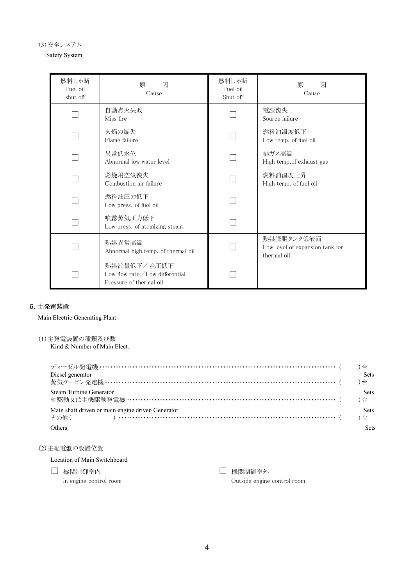(3)安全システム

Safety System

| 燃料しゃ断<br>Fuel oil<br>shut off | 原<br>因<br>Cause                                                                   | 燃料しゃ断<br>Fuel oil<br>Shut off | 因<br>原<br>Cause                                              |
|-------------------------------|-----------------------------------------------------------------------------------|-------------------------------|--------------------------------------------------------------|
|                               | 自動点火失敗<br>Miss fire                                                               |                               | 電源喪失<br>Source failure                                       |
|                               | 火焔の焼失<br>Flame failure                                                            |                               | 燃料油温度低下<br>Low temp. of fuel oil                             |
|                               | 異常低水位<br>Abnormal low water level                                                 |                               | 排ガス高温<br>High temp.of exhaust gas                            |
|                               | 燃焼用空気喪失<br>Combustion air failure                                                 |                               | 燃料油温度上昇<br>High temp. of fuel oil                            |
|                               | 燃料油圧力低下<br>Low press. of fuel oil                                                 |                               |                                                              |
|                               | 噴霧蒸気圧力低下<br>Low press. of atomizing steam                                         |                               |                                                              |
|                               | 熱媒異常高温<br>Abnormal high temp. of thermal oil                                      |                               | 熱媒膨脹タンク低液面<br>Low level of expansion tank for<br>thermal oil |
|                               | 熱媒流量低下/差圧低下<br>Low flow rate $\angle$ Low differential<br>Pressure of thermal oil |                               |                                                              |

### 5.主発電装置

Main Electric Generating Plant

(1)主発電装置の種類及び数 Kind & Number of Main Elect.

| Diesel generator                                  | <b>Sets</b> |
|---------------------------------------------------|-------------|
|                                                   |             |
| Steam Turbine Generator                           | <b>Sets</b> |
|                                                   |             |
| Main shaft driven or main engine driven Generator | <b>Sets</b> |
| その他( ) ………………………………………………………………………… ( )台          |             |
| Others                                            | Sets        |

#### (2)主配電盤の設置位置

Location of Main Switchboard

□ 機関制御室内

In engine control room

□ 機関制御室外 Outside engine control room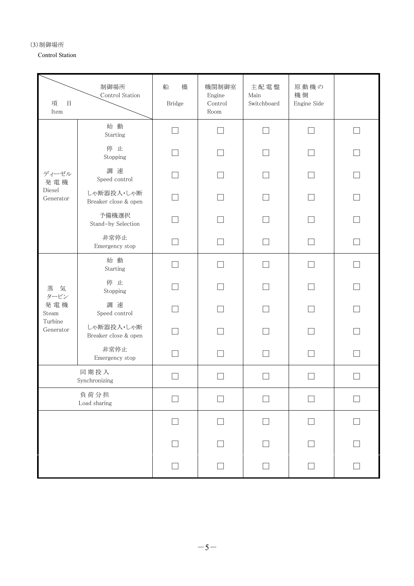(3)制御場所

Control Station

| 制御場所<br>Control Station<br>項<br>$\boxminus$<br>$\mbox{Item}$ |                                    | 船<br>橋<br>Bridge | 機関制御室<br>Engine<br>Control<br>Room | 主配電盤<br>$\operatorname{Main}$<br>Switchboard | 原動機の<br>機側<br>Engine Side |              |
|--------------------------------------------------------------|------------------------------------|------------------|------------------------------------|----------------------------------------------|---------------------------|--------------|
|                                                              | 始 動<br>Starting                    | П                | $\mathcal{L}$                      | П                                            | П                         | П            |
|                                                              | 停止<br>Stopping                     |                  |                                    |                                              |                           |              |
| ディーゼル<br>発電機                                                 | 調速<br>Speed control                |                  |                                    |                                              |                           |              |
| Diesel<br>Generator                                          | しゃ断器投入・しゃ断<br>Breaker close & open |                  |                                    |                                              |                           | П            |
|                                                              | 予備機選択<br>Stand-by Selection        |                  |                                    |                                              |                           |              |
|                                                              | 非常停止<br>Emergency stop             |                  |                                    |                                              |                           |              |
|                                                              | 始 動<br>Starting                    | n.               |                                    | $\Box$                                       | $\Box$                    | n            |
| 蒸<br>気<br>タービン                                               | 停止<br>Stopping                     |                  |                                    |                                              |                           |              |
| 発電機<br>Steam                                                 | 調 速<br>Speed control               |                  |                                    |                                              |                           | $\mathbf{I}$ |
| Turbine<br>Generator                                         | しゃ断器投入・しゃ断<br>Breaker close & open |                  |                                    |                                              |                           |              |
|                                                              | 非常停止<br>Emergency stop             |                  |                                    |                                              |                           |              |
| 同期投入<br>Synchronizing                                        |                                    |                  |                                    |                                              |                           |              |
| 負荷分担<br>Load sharing                                         |                                    | $\Box$           | $\mathcal{L}$                      | П                                            | П                         |              |
|                                                              |                                    |                  |                                    |                                              |                           |              |
|                                                              |                                    |                  |                                    |                                              |                           |              |
|                                                              |                                    |                  |                                    |                                              |                           |              |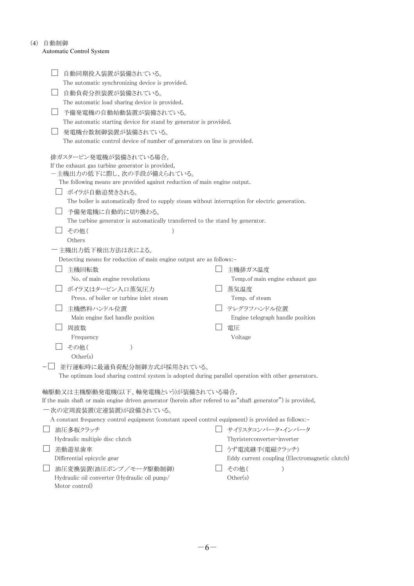#### (4) 自動制御

#### Automatic Control System

|  | 自動同期投入装置が装備されている。                                                                                             |                                                |
|--|---------------------------------------------------------------------------------------------------------------|------------------------------------------------|
|  | The automatic synchronizing device is provided.                                                               |                                                |
|  | 自動負荷分担装置が装備されている。                                                                                             |                                                |
|  | The automatic load sharing device is provided.                                                                |                                                |
|  | 予備発電機の自動始動装置が装備されている。                                                                                         |                                                |
|  | The automatic starting device for stand by generator is provided.                                             |                                                |
|  | 発電機台数制御装置が装備されている。                                                                                            |                                                |
|  | The automatic control device of number of generators on line is provided.                                     |                                                |
|  |                                                                                                               |                                                |
|  | 排ガスタービン発電機が装備されている場合                                                                                          |                                                |
|  | If the exhaust gas turbine generator is provided,<br>一主機出力の低下に際し、次の手段が備えられている。                                |                                                |
|  | The following means are provided against reduction of main engine output.                                     |                                                |
|  | ボイラが自動追焚きされる。                                                                                                 |                                                |
|  | The boiler is automatically fired to supply steam without interruption for electric generation.               |                                                |
|  | 予備発電機に自動的に切り換わる。                                                                                              |                                                |
|  | The turbine generator is automatically transferred to the stand by generator.                                 |                                                |
|  | その他(                                                                                                          |                                                |
|  | Others                                                                                                        |                                                |
|  | 主機出力低下検出方法は次による。                                                                                              |                                                |
|  | Detecting means for reduction of main engine output are as follows:-                                          |                                                |
|  | 主機回転数                                                                                                         | 主機排ガス温度                                        |
|  | No. of main engine revolutions                                                                                | Temp.of main engine exhaust gas                |
|  | ボイラ又はタービン入口蒸気圧力                                                                                               | 蒸気温度                                           |
|  | Press. of boiler or turbine inlet steam                                                                       | Temp. of steam                                 |
|  | 主機燃料ハンドル位置                                                                                                    | テレグラフハンドル位置                                    |
|  | Main engine fuel handle position                                                                              | Engine telegraph handle position               |
|  | 周波数                                                                                                           | 電圧                                             |
|  | Frequency                                                                                                     | Voltage                                        |
|  | その他(<br>)                                                                                                     |                                                |
|  | Other(s)                                                                                                      |                                                |
|  | 並行運転時に最適負荷配分制御方式が採用されている。                                                                                     |                                                |
|  | The optimum load sharing control system is adopted during parallel operation with other generators.           |                                                |
|  | 軸駆動又は主機駆動発電機(以下、軸発電機という)が装備されている場合,                                                                           |                                                |
|  | If the main shaft or main engine driven generator (herein after refered to as "shaft generator") is provided, |                                                |
|  | 一次の定周波装置(定速装置)が設備されている。                                                                                       |                                                |
|  | A constant frequency control equipment (constant speed control equipment) is provided as follows:-            |                                                |
|  | 油圧多板クラッチ                                                                                                      | サイリスタコンバータ・インバータ                               |
|  | Hydraulic multiple disc clutch                                                                                | Thyristerconverter·inverter                    |
|  | 差動遊星歯車                                                                                                        | うず電流継手(電磁クラッチ)                                 |
|  | Differential epicycle gear                                                                                    | Eddy current coupling (Electromagnetic clutch) |
|  | 油圧変換装置(油圧ポンプ/モータ駆動制御)                                                                                         | その他(                                           |
|  | Hydraulic oil converter (Hydraulic oil pump/                                                                  | Other(s)                                       |
|  | Motor control)                                                                                                |                                                |
|  |                                                                                                               |                                                |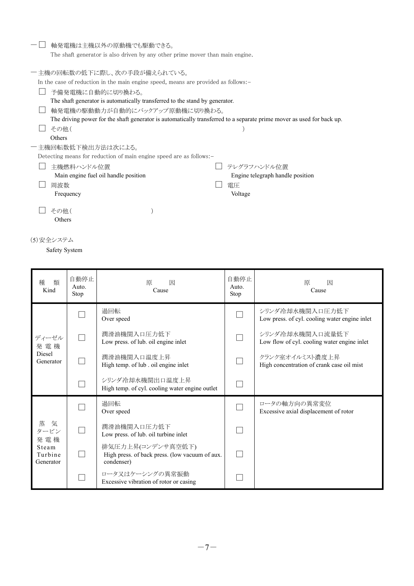| 軸発電機は主機以外の原動機でも駆動できる。                                                              |                                                                                                                       |
|------------------------------------------------------------------------------------|-----------------------------------------------------------------------------------------------------------------------|
|                                                                                    | The shaft generator is also driven by any other prime mover than main engine.                                         |
|                                                                                    |                                                                                                                       |
| ―主機の回転数の低下に際し、次の手段が備えられている。                                                        |                                                                                                                       |
| In the case of reduction in the main engine speed, means are provided as follows:- |                                                                                                                       |
| 予備発電機に自動的に切り換わる。                                                                   |                                                                                                                       |
| The shaft generator is automatically transferred to the stand by generator.        |                                                                                                                       |
| 軸発電機の駆動動力が自動的にバックアップ原動機に切り換わる。                                                     |                                                                                                                       |
|                                                                                    | The driving power for the shaft generator is automatically transferred to a separate prime mover as used for back up. |
| その他 (                                                                              |                                                                                                                       |
| Others                                                                             |                                                                                                                       |
| 一 主機回転数低下検出方法は次による。                                                                |                                                                                                                       |
| Detecting means for reduction of main engine speed are as follows:-                |                                                                                                                       |
| 主機燃料ハンドル位置                                                                         | テレグラフハンドル位置                                                                                                           |
| Main engine fuel oil handle position                                               | Engine telegraph handle position                                                                                      |
| 周波数                                                                                | 雷圧                                                                                                                    |
| Frequency                                                                          | Voltage                                                                                                               |
|                                                                                    |                                                                                                                       |
| その他 (                                                                              |                                                                                                                       |
| Others                                                                             |                                                                                                                       |

(5)安全システム

Safety System

| 類<br>種<br>Kind                                         | 自動停止<br>Auto.<br>Stop | 原<br>因<br>Cause                                                                   | 自動停止<br>Auto.<br>Stop | 原<br>因<br>Cause                                                  |
|--------------------------------------------------------|-----------------------|-----------------------------------------------------------------------------------|-----------------------|------------------------------------------------------------------|
|                                                        |                       | 過回転<br>Over speed                                                                 |                       | シリンダ冷却水機関入口圧力低下<br>Low press. of cyl. cooling water engine inlet |
| ディーゼル<br>発電機                                           |                       | 潤滑油機関入口圧力低下<br>Low press. of lub. oil engine inlet                                |                       | シリンダ冷却水機関入口流量低下<br>Low flow of cyl. cooling water engine inlet   |
| <b>Diesel</b><br>Generator                             |                       | 潤滑油機関入口温度上昇<br>High temp. of lub. oil engine inlet                                |                       | クランク室オイルミスト濃度上昇<br>High concentration of crank case oil mist     |
|                                                        |                       | シリンダ冷却水機関出口温度上昇<br>High temp. of cyl. cooling water engine outlet                 |                       |                                                                  |
|                                                        |                       | 過回転<br>Over speed                                                                 |                       | ロータの軸方向の異常変位<br>Excessive axial displacement of rotor            |
| 蒸<br>気<br>タービン<br>発雷機<br>Steam<br>Turbine<br>Generator |                       | 潤滑油機関入口圧力低下<br>Low press. of lub. oil turbine inlet                               |                       |                                                                  |
|                                                        |                       | 排気圧力上昇(コンデンサ真空低下)<br>High press. of back press. (low vacuum of aux.<br>condenser) | $\mathbf{L}$          |                                                                  |
|                                                        |                       | ロータ又はケーシングの異常振動<br>Excessive vibration of rotor or casing                         |                       |                                                                  |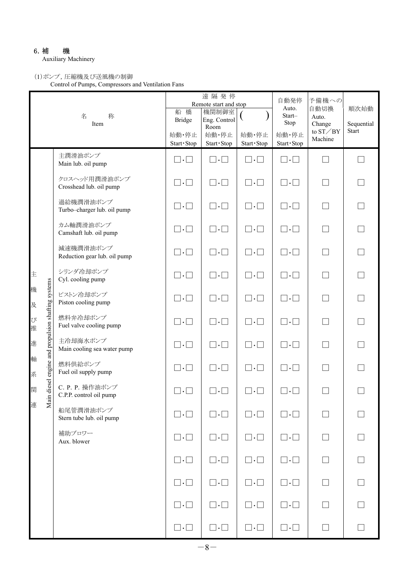## 6.補 機

Auxiliary Machinery

## (1)ポンプ,圧縮機及び送風機の制御

Control of Pumps, Compressors and Ventilation Fans

| 名<br>称<br>Item |                                                   |                                            | 船橋<br><b>Bridge</b><br>始動·停止<br>Start · Stop | 遠隔発停<br>Remote start and stop<br>機関制御室<br>Eng. Control<br>Room<br>始動·停止<br>Start · Stop | 始動·停止<br>Start · Stop   | 自動発停<br>Auto.<br>Start-<br>Stop<br>始動·停止<br>Start · Stop | 予備機への<br>自動切換<br>Auto.<br>Change<br>to $\mathrm{ST}\diagup\mathrm{BY}$<br>Machine | 順次始動<br>Sequential<br>Start |
|----------------|---------------------------------------------------|--------------------------------------------|----------------------------------------------|-----------------------------------------------------------------------------------------|-------------------------|----------------------------------------------------------|-----------------------------------------------------------------------------------|-----------------------------|
|                |                                                   | 主潤滑油ポンプ<br>Main lub. oil pump              | $\square \cdot \square$                      | $\square \cdot \square$                                                                 | $\square \cdot \square$ | $\square \cdot \square$                                  | $\Box$                                                                            |                             |
|                |                                                   | クロスヘッド用潤滑油ポンプ<br>Crosshead lub. oil pump   | $\square \cdot \square$                      | $\square \cdot \square$                                                                 | $\square \cdot \square$ | $\square \cdot \square$                                  |                                                                                   |                             |
|                |                                                   | 過給機潤滑油ポンプ<br>Turbo-charger lub. oil pump   | $\square \cdot \square$                      | $\square \cdot \square$                                                                 | $\square \cdot \square$ | $\square \cdot \square$                                  | П                                                                                 |                             |
|                |                                                   | カム軸潤滑油ポンプ<br>Camshaft lub. oil pump        | $\square \cdot \square$                      | $\square \cdot \square$                                                                 | $\square \cdot \square$ | $\square \cdot \square$                                  |                                                                                   |                             |
|                |                                                   | 減速機潤滑油ポンプ<br>Reduction gear lub. oil pump  | $\square \cdot \square$                      | $\square \cdot \square$                                                                 | $\square \cdot \square$ | $\square \cdot \square$                                  | $\vert \ \ \vert$                                                                 |                             |
| 主              |                                                   | シリンダ冷却ポンプ<br>Cyl. cooling pump             | $\square \cdot \square$                      | $\square \cdot \square$                                                                 | $\Box\cdot\Box$         | $\square \cdot \square$                                  |                                                                                   |                             |
| 機<br>及         | ain diesel engine and propulsion shafting systems | ピストン冷却ポンプ<br>Piston cooling pump           | $\square \cdot \square$                      | $\square \cdot \square$                                                                 | $\square \cdot \square$ | $\square \cdot \square$                                  | $\Box$                                                                            | П                           |
| び<br>推         |                                                   | 燃料弁冷却ポンプ<br>Fuel valve cooling pump        | $\square \cdot \square$                      | $\square \cdot \square$                                                                 | $\square \cdot \square$ | $\square \cdot \square$                                  | П                                                                                 |                             |
| 進              |                                                   | 主冷却海水ポンプ<br>Main cooling sea water pump    | $\square \cdot \square$                      | $\square \cdot \square$                                                                 | $\square \cdot \square$ | $\square \cdot \square$                                  |                                                                                   |                             |
| 軸<br>系         |                                                   | 燃料供給ポンプ<br>Fuel oil supply pump            | $\square \cdot \square$                      | $\square \cdot \square$                                                                 | $\square \cdot \square$ | $\square \cdot \square$                                  |                                                                                   |                             |
| 関              |                                                   | C. P. P. 操作油ポンプ<br>C.P.P. control oil pump | $\vert \cdot \vert$                          | $\overline{\phantom{a}}$ . $\overline{\phantom{a}}$                                     | $\bullet$               | $\cdot \Box$                                             |                                                                                   |                             |
| 連              | Z                                                 | 船尾管潤滑油ポンプ<br>Stern tube lub. oil pump      | $\square \cdot \square$                      | $\square \cdot \square$                                                                 | $\square \cdot \square$ | $\sqcap . \sqcap$                                        |                                                                                   |                             |
|                |                                                   | 補助ブロワー<br>Aux. blower                      | $\square \cdot \square$                      | $\square \cdot \square$                                                                 | $\Box \cdot \Box$       | $\square \cdot \square$                                  | П                                                                                 |                             |
|                |                                                   |                                            | $\square \cdot \square$                      | $\square \cdot \square$                                                                 | $\square \cdot \square$ | $\square \cdot \square$                                  | $\Box$                                                                            |                             |
|                |                                                   |                                            | $\square \cdot \square$                      | $\square \cdot \square$                                                                 | $\square \cdot \square$ | $\square \cdot \square$                                  | $\Box$                                                                            |                             |
|                |                                                   |                                            | $\square \cdot \square$                      | $\square \cdot \square$                                                                 | $\square \cdot \square$ | $\square \cdot \square$                                  | $\Box$                                                                            |                             |
|                |                                                   |                                            | $\square \cdot \square$                      | $\square \cdot \square$                                                                 | $\square \cdot \square$ | $\square \cdot \square$                                  | $\Box$                                                                            |                             |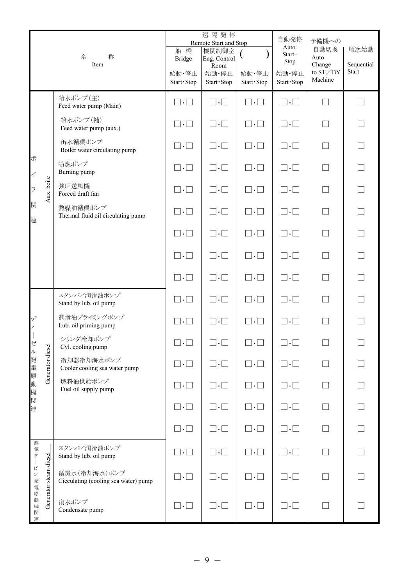|                               |                        | 名<br>称<br>Item                                       | 船橋<br><b>Bridge</b><br>始動·停止<br>Start · Stop | 遠隔発停<br>Remote Start and Stop<br>機関制御室<br>Eng. Control<br>Room<br>始動·停止<br>Start · Stop | 始動·停止<br>Start · Stop   | 自動発停<br>Auto.<br>Start-<br>Stop<br>始動·停止<br>Start · Stop | 予備機への<br>自動切換<br>Auto<br>Change<br>to $ST/BY$<br>Machine | 順次始動<br>Sequential<br><b>Start</b> |
|-------------------------------|------------------------|------------------------------------------------------|----------------------------------------------|-----------------------------------------------------------------------------------------|-------------------------|----------------------------------------------------------|----------------------------------------------------------|------------------------------------|
|                               |                        | 給水ポンプ(主)<br>Feed water pump (Main)                   | $\square \cdot \square$                      | $\square \cdot \square$                                                                 | $\square \cdot \square$ | $\square \cdot \square$                                  | П                                                        |                                    |
|                               |                        | 給水ポンプ(補)<br>Feed water pump (aux.)                   | $\square \cdot \square$                      | $\square \cdot \square$                                                                 | $\Box \cdot \Box$       | $\square \cdot \square$                                  | $\Box$                                                   |                                    |
|                               |                        | 缶水循環ポンプ<br>Boiler water circulating pump             | $\square \cdot \square$                      | $\square \cdot \square$                                                                 | $\Box \cdot \Box$       | $\square \cdot \square$                                  | $\Box$                                                   |                                    |
| ボ<br>$\overline{\mathcal{A}}$ |                        | 噴燃ポンプ<br>Burning pump                                | $\square \cdot \square$                      | $\square \cdot \square$                                                                 | $\square \cdot \square$ | $\square \cdot \square$                                  | $\Box$                                                   |                                    |
| ラ                             | Aux. boile             | 強圧送風機<br>Forced draft fan                            | $\square \cdot \square$                      | $\square \cdot \square$                                                                 | $\Box \cdot \Box$       | $\square \cdot \square$                                  | П                                                        |                                    |
| 関<br>連                        |                        | 熱媒油循環ポンプ<br>Thermal fluid oil circulating pump       | $\square \cdot \square$                      | $\square \cdot \square$                                                                 | $\sqcap.\sqcap$         | $\square \cdot \square$                                  | П                                                        |                                    |
|                               |                        |                                                      | $\square \cdot \square$                      | $\square \cdot \square$                                                                 | $\Box \cdot \Box$       | $\square \cdot \square$                                  | П                                                        |                                    |
|                               |                        |                                                      | $\square \cdot \square$                      | $\square \cdot \square$                                                                 | $\square \cdot \square$ | $\square \cdot \square$                                  | $\Box$                                                   |                                    |
|                               |                        |                                                      | $\square \cdot \square$                      | $\square \cdot \square$                                                                 | $\Box \cdot \Box$       | $\square \cdot \square$                                  | $\Box$                                                   |                                    |
|                               |                        | スタンバイ潤滑油ポンプ<br>Stand by lub. oil pump                | $\square \cdot \square$                      | $\square \cdot \square$                                                                 | $\Box \cdot \Box$       | $\square \cdot \square$                                  | ┓                                                        |                                    |
| デ<br>$\overline{\mathcal{A}}$ |                        | 潤滑油プライミングポンプ<br>Lub. oil priming pump                | $\sqcap.\sqcap$                              | $\Box\cdot\Box$                                                                         | $\sqcap.\sqcap$         | $\square \cdot \square$                                  |                                                          |                                    |
| ゼ<br>$\n  l$                  |                        | シリンダ冷却ポンプ<br>Cyl. cooling pump                       | $\square \cdot \square$                      | $\square \cdot \square$                                                                 | $\Box\,\cdot\,\Box$     | $\square \cdot \square$                                  | ┓                                                        |                                    |
| 発電                            | Generator diesel       | 冷却器冷却海水ポンプ<br>Cooler cooling sea water pump          | $\Box \cdot \Box$                            | $\Box\cdot\Box$                                                                         | $\square \cdot \square$ | $\square \cdot \square$                                  | $\Box$                                                   |                                    |
| 原<br>動<br>機関                  |                        | 燃料油供給ポンプ<br>Fuel oil supply pump                     | $\square \cdot \square$                      | $\square \cdot \square$                                                                 | $\square \cdot \square$ | $\square \cdot \square$                                  | $\Box$                                                   |                                    |
| 連                             |                        |                                                      | $\square \cdot \square$                      | $\square \cdot \square$                                                                 | $\square \cdot \square$ | $\square \cdot \square$                                  | $\Box$                                                   | $\Box$                             |
|                               |                        |                                                      | $\square \cdot \square$                      | $\Box\cdot\Box$                                                                         | $\square \cdot \square$ | $\square \cdot \square$                                  | $\Box$                                                   |                                    |
| 蒸気<br>Ħ                       |                        | スタンバイ潤滑油ポンプ<br>Stand by lub. oil pump                | $\square \cdot \square$                      | $\Box\cdot\Box$                                                                         | $\square \cdot \square$ | $\square \cdot \square$                                  | $\Box$                                                   |                                    |
| ピ<br>ン発電                      | Generator steam diesel | 循環水(冷却海水)ポンプ<br>Cieculating (cooling sea water) pump | $\square \cdot \square$                      | $\square \cdot \square$                                                                 | $\square \cdot \square$ | $\square \cdot \square$                                  | П                                                        | $\Box$                             |
| 原<br>動<br>機関<br>連             |                        | 復水ポンプ<br>Condensate pump                             | $\square \cdot \square$                      | $\square \cdot \square$                                                                 | $\square \cdot \square$ | $\square \cdot \square$                                  | $\Box$                                                   |                                    |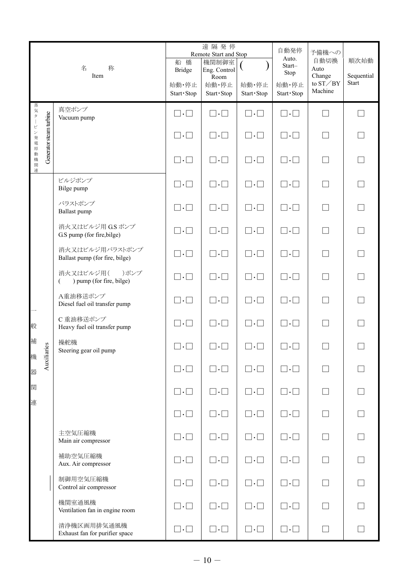|           |                         | 名<br>称<br>Item                                     | 船橋<br><b>Bridge</b><br>始動·停止<br>Start · Stop | 遠隔発停<br>Remote Start and Stop<br>機関制御室<br>Eng. Control<br>Room<br>始動·停止<br>Start · Stop | 始動·停止<br>Start · Stop   | 自動発停<br>Auto.<br>Start-<br>Stop<br>始動·停止<br>Start · Stop | 予備機への<br>自動切換<br>Auto<br>Change<br>to $ST \diagup BY$<br>Machine | 順次始動<br>Sequential<br><b>Start</b> |
|-----------|-------------------------|----------------------------------------------------|----------------------------------------------|-----------------------------------------------------------------------------------------|-------------------------|----------------------------------------------------------|------------------------------------------------------------------|------------------------------------|
|           |                         | 真空ポンプ<br>Vacuum pump                               | $\square \cdot \square$                      | $\square \cdot \square$                                                                 | $\square \cdot \square$ | $\square \cdot \square$                                  | П                                                                | П                                  |
| 蒸気タービン発電原 | Generator steam turbine |                                                    | $\square \cdot \square$                      | $\square \cdot \square$                                                                 | $\square \cdot \square$ | $\square \cdot \square$                                  | $\Box$                                                           |                                    |
| 加動機関<br>連 |                         |                                                    | $\square \cdot \square$                      | $\square \cdot \square$                                                                 | $\square \cdot \square$ | $\square \cdot \square$                                  | $\Box$                                                           |                                    |
|           |                         | ビルジポンプ<br>Bilge pump                               | $\square \cdot \square$                      | $\square \cdot \square$                                                                 | $\square \cdot \square$ | $\square \cdot \square$                                  | П                                                                |                                    |
|           |                         | バラストポンプ<br>Ballast pump                            | $\square \cdot \square$                      | $\square \cdot \square$                                                                 | $\square \cdot \square$ | $\square \cdot \square$                                  | $\Box$                                                           |                                    |
|           |                         | 消火又はビルジ用 GSポンプ<br>G.S pump (for fire, bilge)       | $\square \cdot \square$                      | $\square \cdot \square$                                                                 | $\square \cdot \square$ | $\square \cdot \square$                                  | $\Box$                                                           |                                    |
|           |                         | 消火又はビルジ用バラストポンプ<br>Ballast pump (for fire, bilge)  | $\square \cdot \square$                      | $\square \cdot \square$                                                                 | $\square \cdot \square$ | $\square \cdot \square$                                  | $\Box$                                                           |                                    |
|           |                         | 消火又はビルジ用(<br>)ポンプ<br>) pump (for fire, bilge)<br>€ | $\square \cdot \square$                      | $\square \cdot \square$                                                                 | $\square \cdot \square$ | $\square \cdot \square$                                  | $\Box$                                                           |                                    |
|           |                         | A重油移送ポンプ<br>Diesel fuel oil transfer pump          | $\square \cdot \square$                      | $\square \cdot \square$                                                                 | $\square \cdot \square$ | $\square \cdot \square$                                  |                                                                  |                                    |
| 般         |                         | C 重油移送ポンプ<br>Heavy fuel oil transfer pump          | $\square \cdot \square$                      | $\square \cdot \square$                                                                 | $\square \cdot \square$ | $\square \cdot \square$                                  |                                                                  |                                    |
| 補<br>機    | ries                    | 操舵機<br>Steering gear oil pump                      | $\square \cdot \square$                      | $\square \cdot \square$                                                                 | $\square\cdot\square$   | $\square \cdot \square$                                  |                                                                  |                                    |
| 器         | Auxilian                |                                                    | $\square \cdot \square$                      | $\square \cdot \square$                                                                 | $\square \cdot \square$ | $\square \cdot \square$                                  |                                                                  |                                    |
| 関<br>連    |                         |                                                    | $\square \cdot \square$                      | $\square \cdot \square$                                                                 | $\square \cdot \square$ | $\square \cdot \square$                                  | $\Box$                                                           |                                    |
|           |                         |                                                    | $\square \cdot \square$                      | $\square \cdot \square$                                                                 | $\square \cdot \square$ | $\square \cdot \square$                                  | П                                                                |                                    |
|           |                         | 主空気圧縮機<br>Main air compressor                      | $\square \cdot \square$                      | $\square \cdot \square$                                                                 | $\square \cdot \square$ | $\square \cdot \square$                                  |                                                                  |                                    |
|           |                         | 補助空気圧縮機<br>Aux. Air compressor                     | $\square \cdot \square$                      | $\square \cdot \square$                                                                 | $\square \cdot \square$ | $\square \cdot \square$                                  | $\Box$                                                           | $\Box$                             |
|           |                         | 制御用空気圧縮機<br>Control air compressor                 | $\square \cdot \square$                      | $\square \cdot \square$                                                                 | $\square \cdot \square$ | $\square \cdot \square$                                  | $\Box$                                                           | $\Box$                             |
|           |                         | 機関室通風機<br>Ventilation fan in engine room           | $\square \cdot \square$                      | $\square \cdot \square$                                                                 | $\square \cdot \square$ | $\square \cdot \square$                                  | $\Box$                                                           |                                    |
|           |                         | 清浄機区画用排気通風機<br>Exhaust fan for purifier space      | $\square \cdot \square$                      | $\square \cdot \square$                                                                 | $\square \cdot \square$ | $\square \cdot \square$                                  |                                                                  |                                    |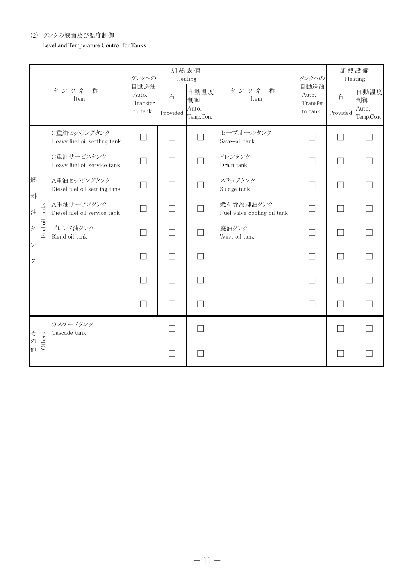#### (2) タンクの液面及び温度制御

Level and Temperature Control for Tanks

|                     |                                               | タンクへの                                | 加熱設備          | Heating                          |                                          | タンクへの                                | 加熱設備                     | Heating                          |
|---------------------|-----------------------------------------------|--------------------------------------|---------------|----------------------------------|------------------------------------------|--------------------------------------|--------------------------|----------------------------------|
|                     | タンク名<br>称<br>Item                             | 自動送油<br>Auto.<br>Transfer<br>to tank | 有<br>Provided | 自動温度<br>制御<br>Auto.<br>Temp.Cont | タンク名<br>称<br>Item                        | 自動送油<br>Auto.<br>Transfer<br>to tank | 有<br>Provided            | 自動温度<br>制御<br>Auto.<br>Temp.Cont |
|                     | C重油セットリングタンク<br>Heavy fuel oil settling tank  | $\Box$                               | П             | $\Box$                           | セーブオールタンク<br>Save-all tank               |                                      | ۰                        |                                  |
|                     | C重油サービスタンク<br>Heavy fuel oil service tank     |                                      |               |                                  | ドレンタンク<br>Drain tank                     |                                      |                          |                                  |
| 燃<br>料              | A重油セットリングタンク<br>Diesel fuel oil settling tank |                                      |               |                                  | スラッジタンク<br>Sludge tank                   |                                      |                          |                                  |
| Fuel oil tanks<br>油 | A重油サービスタンク<br>Diesel fuel oil service tank    |                                      |               |                                  | 燃料弁冷却油タンク<br>Fuel valve cooling oil tank |                                      |                          |                                  |
| タ<br>$\checkmark$   | ブレンド油タンク<br>Blend oil tank                    |                                      |               |                                  | 廃油タンク<br>West oil tank                   |                                      |                          |                                  |
| ク                   |                                               |                                      | П             | $\Box$                           |                                          | ┓                                    | ┓                        |                                  |
|                     |                                               |                                      |               |                                  |                                          |                                      | ┓                        |                                  |
|                     |                                               |                                      |               |                                  |                                          | $\overline{\phantom{a}}$             | $\overline{\phantom{a}}$ |                                  |
| z<br>Others         | カスケードタンク<br>Cascade tank                      |                                      |               |                                  |                                          |                                      | $\vert \ \ \vert$        |                                  |
| の他                  |                                               |                                      |               |                                  |                                          |                                      |                          |                                  |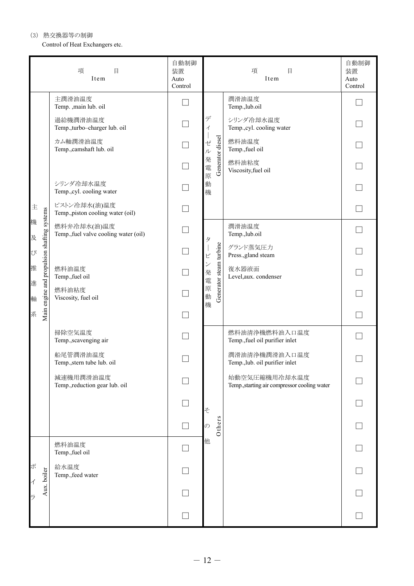(3) 熱交換器等の制御

Control of Heat Exchangers etc.

|          |                                             | 項<br>$\begin{array}{c} \square \end{array}$<br>Item  | 自動制御<br>装置<br>Auto<br>Control       |                               |                                 | $\Box$<br>項<br>Item                                           | 自動制御<br>装置<br>Auto<br>Control |
|----------|---------------------------------------------|------------------------------------------------------|-------------------------------------|-------------------------------|---------------------------------|---------------------------------------------------------------|-------------------------------|
|          |                                             | 主潤滑油温度<br>Temp. ,main lub. oil                       |                                     |                               |                                 | 潤滑油温度<br>Temp.,lub.oil                                        |                               |
|          |                                             | 過給機潤滑油温度<br>Temp., turbo-charger lub. oil            | $\Box$                              | デ<br>$\overline{\mathcal{A}}$ |                                 | シリンダ冷却水温度<br>Temp., cyl. cooling water                        |                               |
|          |                                             | カム軸潤滑油温度<br>Temp., camshaft lub. oil                 |                                     | ゼル                            | Generator diesel                | 燃料油温度<br>Temp., fuel oil                                      |                               |
|          |                                             |                                                      | $\Box$                              | 発<br>電<br>原                   |                                 | 燃料油粘度<br>Viscosity, fuel oil                                  |                               |
|          |                                             | シリンダ冷却水温度<br>Temp., cyl. cooling water               | $\Box$                              | 動<br>機                        |                                 |                                                               |                               |
| 主        |                                             | ピストン冷却水(油)温度<br>Temp., piston cooling water (oil)    | $\Box$                              |                               |                                 |                                                               |                               |
| 機<br>及   |                                             | 燃料弁冷却水(油)温度<br>Temp., fuel valve cooling water (oil) | $\Box$                              |                               |                                 | 潤滑油温度<br>Temp., lub.oil                                       |                               |
| $\alpha$ |                                             |                                                      | 夕<br>$\Box$<br>$\mathsf{L}^{\circ}$ |                               | グランド蒸気圧力<br>Press., gland steam |                                                               |                               |
| 推        | Main engine and propulsion shafting systems | 燃料油温度<br>Temp., fuel oil                             | $\Box$                              | $\checkmark$<br>発<br>電        | Generator steam turbine         | 復水器液面<br>Level, aux. condenser                                |                               |
| 進<br>軸   |                                             | 燃料油粘度<br>Viscosity, fuel oil                         | $\Box$                              | 原<br>動                        |                                 |                                                               |                               |
| 系        |                                             |                                                      | $\Box$                              | 機                             |                                 |                                                               |                               |
|          |                                             | 掃除空気温度<br>Temp., scavenging air                      |                                     |                               |                                 | 燃料油清浄機燃料油入口温度<br>Temp., fuel oil purifier inlet               |                               |
|          |                                             | 船尾管潤滑油温度<br>Temp., stern tube lub. oil               |                                     |                               |                                 | 潤滑油清浄機潤滑油入口温度<br>Temp., lub. oil purifier inlet               |                               |
|          |                                             | 減速機用潤滑油温度<br>Temp., reduction gear lub. oil          |                                     |                               |                                 | 始動空気圧縮機用冷却水温度<br>Temp., starting air compressor cooling water |                               |
|          |                                             |                                                      |                                     | そ                             |                                 |                                                               |                               |
|          |                                             |                                                      | $\blacksquare$                      | の                             | Others                          |                                                               |                               |
|          |                                             | 燃料油温度<br>Temp., fuel oil                             |                                     | 他                             |                                 |                                                               |                               |
| ボ<br>イ   | Aux. boiler                                 | 給水温度<br>Temp., feed water                            |                                     |                               |                                 |                                                               |                               |
| ラ        |                                             |                                                      |                                     |                               |                                 |                                                               |                               |
|          |                                             |                                                      |                                     |                               |                                 |                                                               |                               |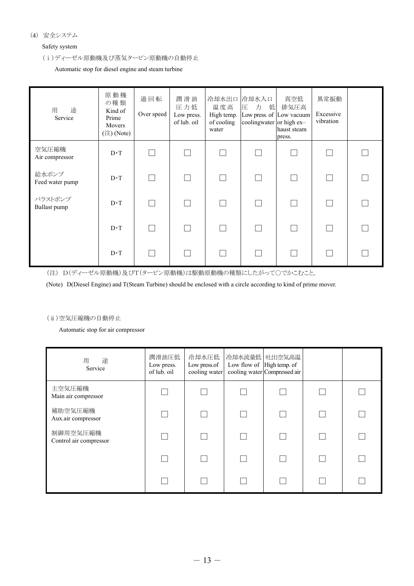#### (4) 安全システム

#### Safety system

## (ⅰ)ディーゼル原動機及び蒸気タービン原動機の自動停止

Automatic stop for diesel engine and steam turbine

| 用<br>途<br>Service        | 原動機<br>の種類<br>Kind of<br>Prime<br>Movers<br>$(\overset{\circ}{\mathbb{H}})$ (Note) | 過回転<br>Over speed | 潤滑油<br>圧力低<br>Low press.<br>of lub. oil | 冷却水出口<br>温度高<br>High temp.<br>of cooling<br>water | 冷却水入口<br>圧<br>力<br>低<br>Low press. of Low vacuum<br>coolingwater or high ex- | 真空低<br>排気圧高<br>haust steam<br>press. | 異常振動<br>Excessive<br>vibration |  |
|--------------------------|------------------------------------------------------------------------------------|-------------------|-----------------------------------------|---------------------------------------------------|------------------------------------------------------------------------------|--------------------------------------|--------------------------------|--|
| 空気圧縮機<br>Air compressor  | $D \cdot T$                                                                        |                   |                                         |                                                   |                                                                              |                                      |                                |  |
| 給水ポンプ<br>Feed water pump | $D \cdot T$                                                                        |                   |                                         |                                                   |                                                                              |                                      |                                |  |
| バラストポンプ<br>Ballast pump  | $D \cdot T$                                                                        |                   |                                         |                                                   |                                                                              |                                      |                                |  |
|                          | $D \cdot T$                                                                        |                   |                                         |                                                   |                                                                              |                                      | n i                            |  |
|                          | $D \cdot T$                                                                        |                   |                                         |                                                   |                                                                              |                                      |                                |  |

(注) D(ディーゼル原動機)及びT(タービン原動機)は駆動原動機の種類にしたがって○でかこむこと。

(Note) D(Diesel Engine) and T(Steam Turbine) should be enclosed with a circle according to kind of prime mover.

#### (ⅱ)空気圧縮機の自動停止

Automatic stop for air compressor

| 途<br>用<br>Service                  | 潤滑油圧低<br>Low press.<br>of lub. oil | 冷却水圧低<br>Low press.of<br>cooling water | Low flow of High temp. of | 冷却水流量低 吐出空気高温<br>cooling water Compressed air |  |
|------------------------------------|------------------------------------|----------------------------------------|---------------------------|-----------------------------------------------|--|
| 主空気圧縮機<br>Main air compressor      |                                    |                                        |                           |                                               |  |
| 補助空気圧縮機<br>Aux.air compressor      |                                    |                                        |                           |                                               |  |
| 制御用空気圧縮機<br>Control air compressor |                                    |                                        |                           |                                               |  |
|                                    |                                    |                                        |                           |                                               |  |
|                                    |                                    |                                        |                           |                                               |  |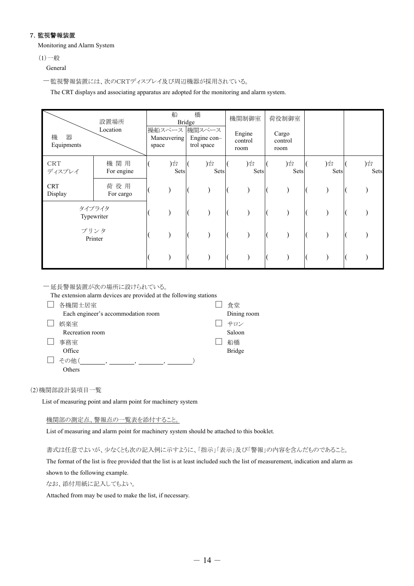#### 7.監視警報装置

Monitoring and Alarm System

 $(1)$ 一般

General

-監視警報装置には、次のCRTディスプレイ及び周辺機器が採用されている。

The CRT displays and associating apparatus are adopted for the monitoring and alarm system.

|                       | 設置場所              |       | 船           | 橋<br><b>Bridge</b> |                                            | 機関制御室                     | 荷役制御室                    |            |            |
|-----------------------|-------------------|-------|-------------|--------------------|--------------------------------------------|---------------------------|--------------------------|------------|------------|
| 機<br>器<br>Equipments  | Location          | space | Maneuvering |                    | 操船スペース 機関スペース<br>Engine con-<br>trol space | Engine<br>control<br>room | Cargo<br>control<br>room |            |            |
| <b>CRT</b><br>ディスプレイ  | 機関用<br>For engine |       | )台<br>Sets  |                    | )台<br>Sets                                 | )台<br>Sets                | )台<br>Sets               | )台<br>Sets | )台<br>Sets |
| <b>CRT</b><br>Display | 荷役用<br>For cargo  |       |             |                    |                                            |                           |                          |            |            |
| タイプライタ<br>Typewriter  |                   |       |             |                    |                                            |                           |                          |            |            |
| プリンタ<br>Printer       |                   |       |             |                    |                                            |                           |                          |            |            |
|                       |                   |       |             |                    |                                            |                           |                          |            |            |

-延長警報装置が次の場所に設けられている。

The extension alarm devices are provided at the following stations

| 各機関士居室                             | 食堂            |
|------------------------------------|---------------|
| Each engineer's accommodation room | Dining room   |
| 娯楽室                                | サロン           |
| Recreation room                    | Saloon        |
| 事務室                                | 船橋            |
| Office                             | <b>Bridge</b> |
| その他                                |               |
| Others                             |               |

(2)機関部設計装項目一覧

List of measuring point and alarm point for machinery system

機関部の測定点、警報点の一覧表を添付すること。

List of measuring and alarm point for machinery system should be attached to this booklet.

書式は任意でよいが、少なくとも次の記入例に示すように、「指示」「表示」及び「警報」の内容を含んだものであること。

The format of the list is free provided that the list is at least included such the list of measurement, indication and alarm as

shown to the following example.

なお、添付用紙に記入してもよい。

Attached from may be used to make the list, if necessary.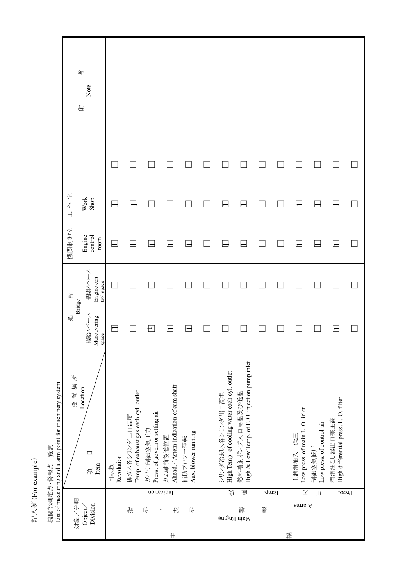記入例(For example) 記入例(For example)

機関部測定点•警報点一覧表<br>List of measuring and alarm point for machinery system List of measuring and alarm point for machinery system 機関部測定点・警報点一覧表

| 考<br>備               | Note                                |                   |                                                       |                                             |                                                  |                                 |                                                                  |                                                                   |   |          |                                            |                                     |                                                      |  |
|----------------------|-------------------------------------|-------------------|-------------------------------------------------------|---------------------------------------------|--------------------------------------------------|---------------------------------|------------------------------------------------------------------|-------------------------------------------------------------------|---|----------|--------------------------------------------|-------------------------------------|------------------------------------------------------|--|
| 工作室                  | Work<br>Shop                        |                   |                                                       |                                             |                                                  |                                 |                                                                  |                                                                   |   |          |                                            |                                     |                                                      |  |
| 機関制御室                | Engine<br>control<br>$_{\rm room}$  |                   |                                                       |                                             |                                                  | ⊢⊢                              |                                                                  |                                                                   |   |          | ⊟                                          |                                     | $\overline{\phantom{a}}$                             |  |
| 橋                    | 機関スペース<br>Engine con-<br>trol space |                   |                                                       |                                             |                                                  |                                 |                                                                  |                                                                   |   |          |                                            |                                     |                                                      |  |
| Bridge<br>船          | 操好ペース<br>Maneuvering<br>space       |                   |                                                       | Ð                                           | ⊣                                                | ⊢⊢                              |                                                                  |                                                                   |   |          |                                            |                                     | ㅂ                                                    |  |
| 所<br>設置場<br>Location | $\mathbb{I}$<br>Item<br>項           | Revolution<br>回転数 | Temp. of exhaust gas each cyl. outlet<br>排ガス各シリンダ出口温度 | Press. of governor setting air<br>ガバナ制御空気圧力 | Ahead/Astern indication of cam shaft<br>カム軸前後進位置 | Aux. blower running<br>補助ブロワー運転 | High Temp. of cooling water each cyl. outlet<br>シリンダ冷却水各シリンダ出口高温 | High & Low Temp. of F. O. injection pump inlet<br>燃料噴射ポンプ入口高温及び低温 |   |          | Low press. of main L. O. inlet<br>主潤滑油入口低圧 | Low press. of control air<br>制御空気低圧 | High differential press. L. O. filter<br>潤滑油こと器 口差圧高 |  |
|                      |                                     |                   |                                                       | Indication                                  |                                                  |                                 | 更                                                                | 豐                                                                 |   | $I$ cmp. | 4<br>amnal A                               | 王                                   | Press.                                               |  |
| 对象/分類                | Division<br>Object/                 |                   | 喆                                                     | 长                                           | 表<br>٠                                           | 后                               |                                                                  | 警<br>Main Engine                                                  | 载 |          |                                            |                                     |                                                      |  |
|                      |                                     |                   |                                                       |                                             | #                                                |                                 |                                                                  |                                                                   |   |          | 楼                                          |                                     |                                                      |  |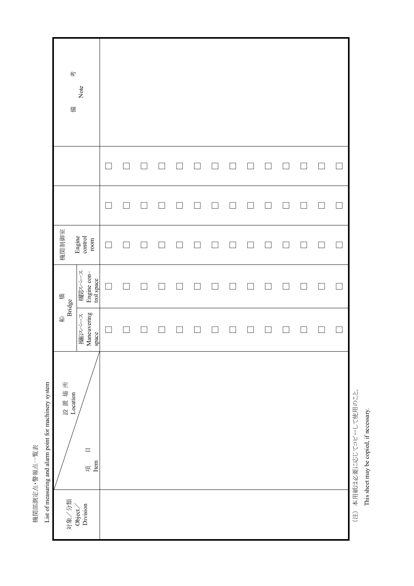| 荂<br>備           | Note                                |  |  |  |  |  |  |               |
|------------------|-------------------------------------|--|--|--|--|--|--|---------------|
|                  |                                     |  |  |  |  |  |  |               |
|                  |                                     |  |  |  |  |  |  | $\Box$        |
| 機関制御室            | Engine<br>control<br>$_{\rm room}$  |  |  |  |  |  |  | $\mathcal{L}$ |
| 橋                | 機関スペース<br>Engine con-<br>trol space |  |  |  |  |  |  |               |
| 船<br>Bridge      | Maneuvering<br>薬汉ペース<br>space       |  |  |  |  |  |  | $\Box$        |
| 設置場所<br>Location | $\hfill\blacksquare$<br>項<br>Item   |  |  |  |  |  |  |               |
|                  | 対象/分類<br>Object/<br>Division        |  |  |  |  |  |  |               |

(注) 本用紙は必要に応じてコピーして使用のこと。 (注) 本用紙は必要に応じてコピーして使用のこと。 This sheet may be copied, if necessary. This sheet may be copied, if necessary.

i,